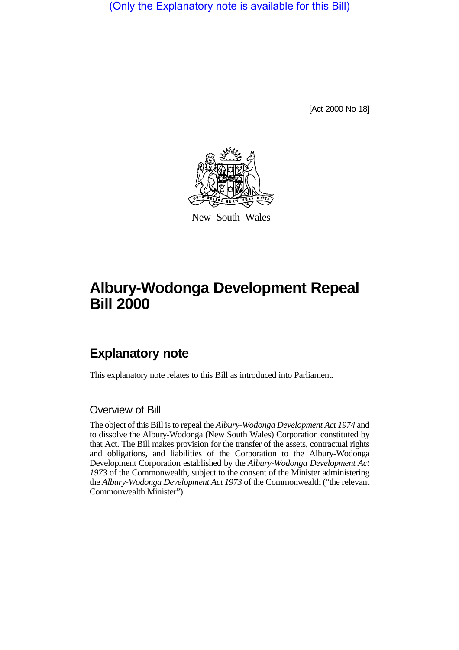(Only the Explanatory note is available for this Bill)

[Act 2000 No 18]



New South Wales

## **Albury-Wodonga Development Repeal Bill 2000**

## **Explanatory note**

This explanatory note relates to this Bill as introduced into Parliament.

## Overview of Bill

The object of this Bill is to repeal the *Albury-Wodonga Development Act 1974* and to dissolve the Albury-Wodonga (New South Wales) Corporation constituted by that Act. The Bill makes provision for the transfer of the assets, contractual rights and obligations, and liabilities of the Corporation to the Albury-Wodonga Development Corporation established by the *Albury-Wodonga Development Act 1973* of the Commonwealth, subject to the consent of the Minister administering the *Albury-Wodonga Development Act 1973* of the Commonwealth ("the relevant Commonwealth Minister").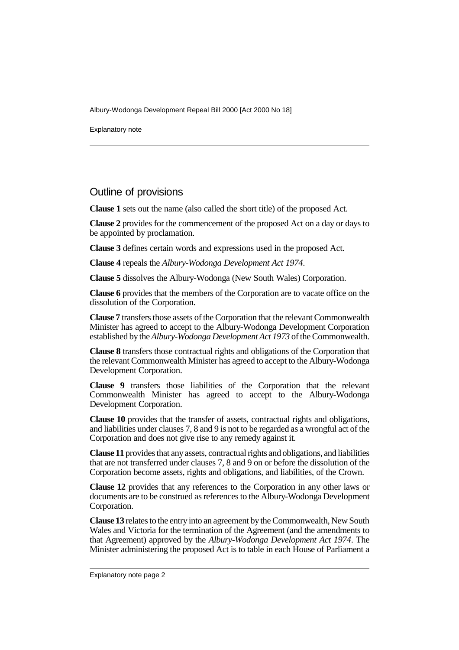Albury-Wodonga Development Repeal Bill 2000 [Act 2000 No 18]

Explanatory note

## Outline of provisions

**Clause 1** sets out the name (also called the short title) of the proposed Act.

**Clause 2** provides for the commencement of the proposed Act on a day or days to be appointed by proclamation.

**Clause 3** defines certain words and expressions used in the proposed Act.

**Clause 4** repeals the *Albury-Wodonga Development Act 1974*.

**Clause 5** dissolves the Albury-Wodonga (New South Wales) Corporation.

**Clause 6** provides that the members of the Corporation are to vacate office on the dissolution of the Corporation.

**Clause 7** transfers those assets of the Corporation that the relevant Commonwealth Minister has agreed to accept to the Albury-Wodonga Development Corporation established by the *Albury-Wodonga Development Act 1973* of the Commonwealth.

**Clause 8** transfers those contractual rights and obligations of the Corporation that the relevant Commonwealth Minister has agreed to accept to the Albury-Wodonga Development Corporation.

**Clause 9** transfers those liabilities of the Corporation that the relevant Commonwealth Minister has agreed to accept to the Albury-Wodonga Development Corporation.

**Clause 10** provides that the transfer of assets, contractual rights and obligations, and liabilities under clauses 7, 8 and 9 is not to be regarded as a wrongful act of the Corporation and does not give rise to any remedy against it.

**Clause 11** provides that any assets, contractual rights and obligations, and liabilities that are not transferred under clauses 7, 8 and 9 on or before the dissolution of the Corporation become assets, rights and obligations, and liabilities, of the Crown.

**Clause 12** provides that any references to the Corporation in any other laws or documents are to be construed as references to the Albury-Wodonga Development Corporation.

**Clause 13** relates to the entry into an agreement by the Commonwealth, New South Wales and Victoria for the termination of the Agreement (and the amendments to that Agreement) approved by the *Albury-Wodonga Development Act 1974*. The Minister administering the proposed Act is to table in each House of Parliament a